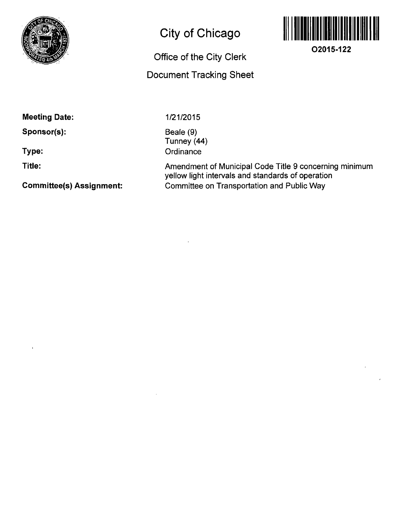

## **City of Chicago**

# **Office of the City Clerk**

### **Document Tracking Sheet**



**O2015-122** 

**Meeting Date:** 

**Sponsor(s):** 

**Type:** 

**Title:** 

**Committee(s) Assignment:** 

1/21/2015

Beale (9) Tunney (44) **Ordinance** 

Amendment of Municipal Code Title 9 concerning minimum yellow light intervals and standards of operation Committee on Transportation and Public Way